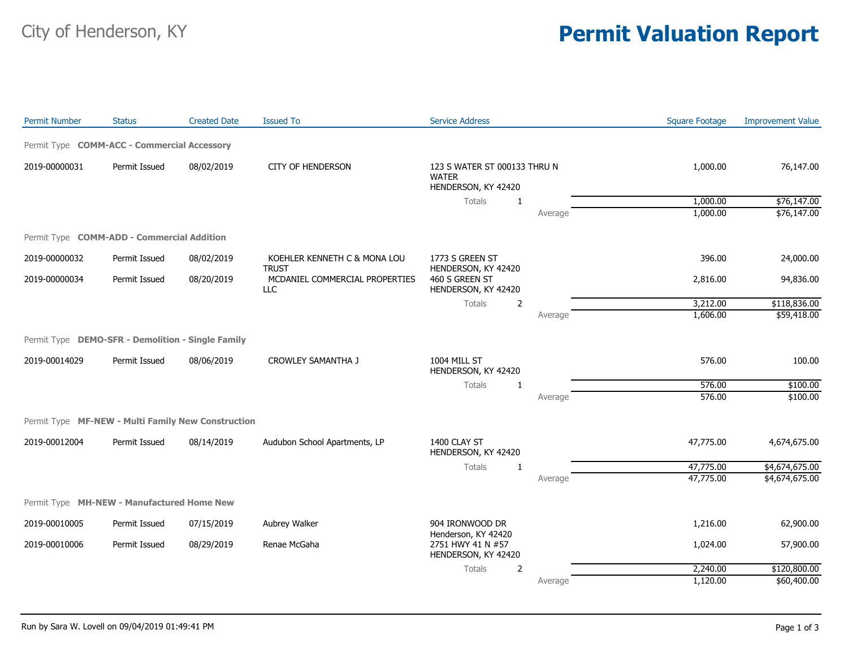## City of Henderson, KY **Permit Valuation Report**

| <b>Permit Number</b> | <b>Status</b>                                      | <b>Created Date</b> | <b>Issued To</b>                             | <b>Service Address</b>                                              |         | <b>Square Footage</b> | <b>Improvement Value</b> |
|----------------------|----------------------------------------------------|---------------------|----------------------------------------------|---------------------------------------------------------------------|---------|-----------------------|--------------------------|
|                      | Permit Type COMM-ACC - Commercial Accessory        |                     |                                              |                                                                     |         |                       |                          |
| 2019-00000031        | Permit Issued                                      | 08/02/2019          | <b>CITY OF HENDERSON</b>                     | 123 S WATER ST 000133 THRU N<br><b>WATER</b><br>HENDERSON, KY 42420 |         | 1,000.00              | 76,147.00                |
|                      |                                                    |                     |                                              | <b>Totals</b><br>1                                                  |         | 1,000.00              | \$76,147.00              |
|                      |                                                    |                     |                                              |                                                                     | Average | 1,000.00              | \$76,147.00              |
|                      | Permit Type COMM-ADD - Commercial Addition         |                     |                                              |                                                                     |         |                       |                          |
| 2019-00000032        | Permit Issued                                      | 08/02/2019          | KOEHLER KENNETH C & MONA LOU<br><b>TRUST</b> | 1773 S GREEN ST<br>HENDERSON, KY 42420                              |         | 396.00                | 24,000.00                |
| 2019-00000034        | Permit Issued                                      | 08/20/2019          | MCDANIEL COMMERCIAL PROPERTIES<br><b>LLC</b> | 460 S GREEN ST<br>HENDERSON, KY 42420                               |         | 2,816.00              | 94,836.00                |
|                      |                                                    |                     |                                              | Totals<br>$\overline{2}$                                            |         | 3,212.00              | \$118,836.00             |
|                      |                                                    |                     |                                              |                                                                     | Average | 1,606.00              | \$59,418.00              |
|                      | Permit Type DEMO-SFR - Demolition - Single Family  |                     |                                              |                                                                     |         |                       |                          |
| 2019-00014029        | Permit Issued                                      | 08/06/2019          | <b>CROWLEY SAMANTHA J</b>                    | 1004 MILL ST<br>HENDERSON, KY 42420                                 |         | 576.00                | 100.00                   |
|                      |                                                    |                     |                                              | Totals<br>1                                                         |         | 576.00                | \$100.00                 |
|                      |                                                    |                     |                                              |                                                                     | Average | 576.00                | \$100.00                 |
|                      | Permit Type MF-NEW - Multi Family New Construction |                     |                                              |                                                                     |         |                       |                          |
| 2019-00012004        | Permit Issued                                      | 08/14/2019          | Audubon School Apartments, LP                | 1400 CLAY ST<br>HENDERSON, KY 42420                                 |         | 47,775.00             | 4,674,675.00             |
|                      |                                                    |                     |                                              | Totals<br>1                                                         |         | 47,775.00             | \$4,674,675.00           |
|                      |                                                    |                     |                                              |                                                                     | Average | 47,775.00             | \$4,674,675.00           |
|                      | Permit Type MH-NEW - Manufactured Home New         |                     |                                              |                                                                     |         |                       |                          |
| 2019-00010005        | Permit Issued                                      | 07/15/2019          | Aubrey Walker                                | 904 IRONWOOD DR<br>Henderson, KY 42420                              |         | 1,216.00              | 62,900.00                |
| 2019-00010006        | Permit Issued                                      | 08/29/2019          | Renae McGaha                                 | 2751 HWY 41 N #57<br>HENDERSON, KY 42420                            |         | 1,024.00              | 57,900.00                |
|                      |                                                    |                     |                                              | Totals<br>2                                                         |         | 2,240.00              | \$120,800.00             |
|                      |                                                    |                     |                                              |                                                                     | Average | 1,120.00              | \$60,400.00              |
|                      |                                                    |                     |                                              |                                                                     |         |                       |                          |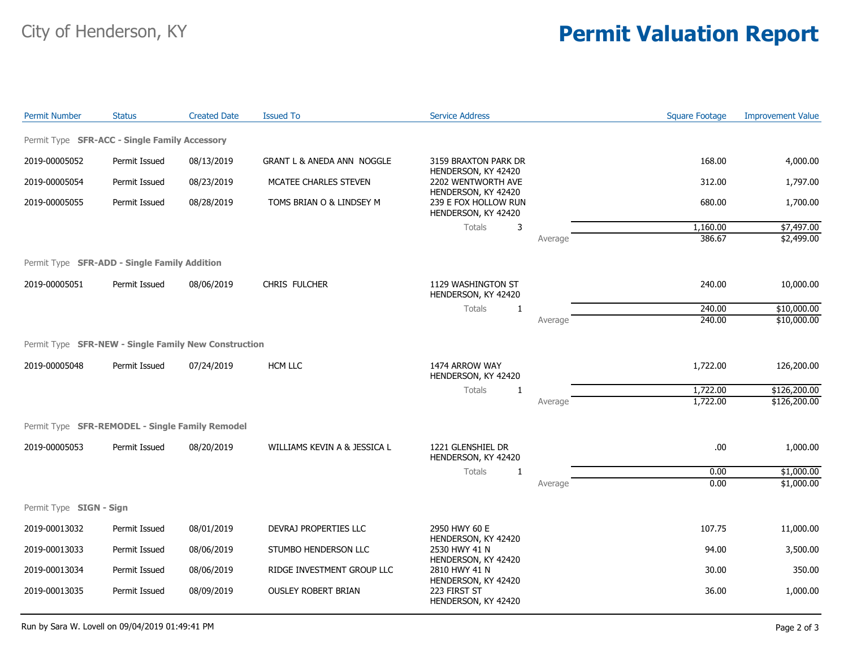## City of Henderson, KY **Permit Valuation Report**

| <b>Permit Number</b>                                 | <b>Status</b> | <b>Created Date</b> | <b>Issued To</b>                      | <b>Service Address</b>                                                                                                                                      |         | <b>Square Footage</b> | <b>Improvement Value</b> |
|------------------------------------------------------|---------------|---------------------|---------------------------------------|-------------------------------------------------------------------------------------------------------------------------------------------------------------|---------|-----------------------|--------------------------|
| Permit Type SFR-ACC - Single Family Accessory        |               |                     |                                       |                                                                                                                                                             |         |                       |                          |
| 2019-00005052                                        | Permit Issued | 08/13/2019          | <b>GRANT L &amp; ANEDA ANN NOGGLE</b> | 3159 BRAXTON PARK DR                                                                                                                                        |         | 168.00                | 4,000.00                 |
| 2019-00005054                                        | Permit Issued | 08/23/2019          | MCATEE CHARLES STEVEN                 | HENDERSON, KY 42420<br>2202 WENTWORTH AVE<br>HENDERSON, KY 42420                                                                                            |         | 312.00                | 1,797.00                 |
| 2019-00005055                                        | Permit Issued | 08/28/2019          | TOMS BRIAN O & LINDSEY M              | 239 E FOX HOLLOW RUN<br>HENDERSON, KY 42420                                                                                                                 |         | 680.00                | 1,700.00                 |
|                                                      |               |                     |                                       | Totals<br>3                                                                                                                                                 |         | 1,160.00              | \$7,497.00               |
|                                                      |               |                     |                                       |                                                                                                                                                             | Average | 386.67                | \$2,499.00               |
| Permit Type <b>SFR-ADD - Single Family Addition</b>  |               |                     |                                       |                                                                                                                                                             |         |                       |                          |
| 2019-00005051                                        | Permit Issued | 08/06/2019          | CHRIS FULCHER                         | 1129 WASHINGTON ST<br>HENDERSON, KY 42420                                                                                                                   |         | 240.00                | 10,000.00                |
|                                                      |               |                     |                                       | Totals<br>1                                                                                                                                                 |         | 240.00                | \$10,000.00              |
|                                                      |               |                     |                                       |                                                                                                                                                             | Average | 240.00                | \$10,000.00              |
| Permit Type SFR-NEW - Single Family New Construction |               |                     |                                       |                                                                                                                                                             |         |                       |                          |
| 2019-00005048                                        | Permit Issued | 07/24/2019          | <b>HCM LLC</b>                        | 1474 ARROW WAY<br>HENDERSON, KY 42420                                                                                                                       |         | 1,722.00              | 126,200.00               |
|                                                      |               |                     |                                       | Totals<br>1                                                                                                                                                 |         | 1,722.00              | \$126,200.00             |
|                                                      |               |                     |                                       |                                                                                                                                                             | Average | 1,722.00              | \$126,200.00             |
| Permit Type SFR-REMODEL - Single Family Remodel      |               |                     |                                       |                                                                                                                                                             |         |                       |                          |
| 2019-00005053                                        | Permit Issued | 08/20/2019          | WILLIAMS KEVIN A & JESSICA L          | 1221 GLENSHIEL DR<br>HENDERSON, KY 42420                                                                                                                    |         | .00                   | 1,000.00                 |
|                                                      |               |                     |                                       | Totals<br>1                                                                                                                                                 |         | 0.00                  | \$1,000.00               |
|                                                      |               |                     |                                       |                                                                                                                                                             | Average | 0.00                  | \$1,000.00               |
| Permit Type SIGN - Sign                              |               |                     |                                       |                                                                                                                                                             |         |                       |                          |
| 2019-00013032                                        | Permit Issued | 08/01/2019          | DEVRAJ PROPERTIES LLC                 | 2950 HWY 60 E<br>HENDERSON, KY 42420<br>2530 HWY 41 N<br>HENDERSON, KY 42420<br>2810 HWY 41 N<br>HENDERSON, KY 42420<br>223 FIRST ST<br>HENDERSON, KY 42420 |         | 107.75                | 11,000.00                |
| 2019-00013033                                        | Permit Issued | 08/06/2019          | STUMBO HENDERSON LLC                  |                                                                                                                                                             |         | 94.00                 | 3,500.00                 |
| 2019-00013034                                        | Permit Issued | 08/06/2019          | RIDGE INVESTMENT GROUP LLC            |                                                                                                                                                             |         | 30.00                 | 350.00                   |
| 2019-00013035                                        | Permit Issued | 08/09/2019          | <b>OUSLEY ROBERT BRIAN</b>            |                                                                                                                                                             |         | 36.00                 | 1,000.00                 |